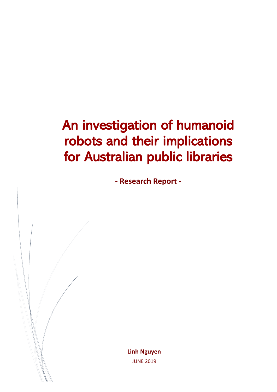# An investigation of humanoid robots and their implications for Australian public libraries

**- Research Report -**

**Linh Nguyen** JUNE 2019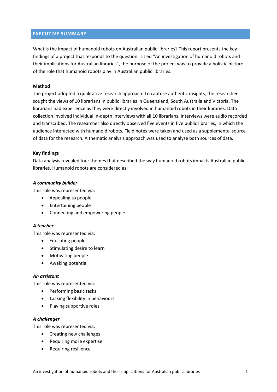# <span id="page-1-0"></span>**EXECUTIVE SUMMARY**

What is the impact of humanoid robots on Australian public libraries? This report presents the key findings of a project that responds to the question. Titled "An investigation of humanoid robots and their implications for Australian libraries", the purpose of the project was to provide a holistic picture of the role that humanoid robots play in Australian public libraries.

# **Method**

The project adopted a qualitative research approach. To capture authentic insights, the researcher sought the views of 10 librarians in public libraries in Queensland, South Australia and Victoria. The librarians had experience as they were directly involved in humanoid robots in their libraries. Data collection involved individual in-depth interviews with all 10 librarians. Interviews were audio recorded and transcribed. The researcher also directly observed five events in five public libraries, in which the audience interacted with humanoid robots. Field notes were taken and used as a supplemental source of data for the research. A thematic analysis approach was used to analyse both sources of data.

#### **Key findings**

Data analysis revealed four themes that described the way humanoid robots impacts Australian public libraries. Humanoid robots are considered as:

# *A community builder*

This role was represented via:

- Appealing to people
- Entertaining people
- Connecting and empowering people

#### *A teacher*

This role was represented via:

- Educating people
- Stimulating desire to learn
- Motivating people
- Awaking potential

#### *An assistant*

This role was represented via:

- Performing basic tasks
- Lacking flexibility in behaviours
- Playing supportive roles

#### *A challenger*

This role was represented via:

- Creating new challenges
- Requiring more expertise
- Requiring resilience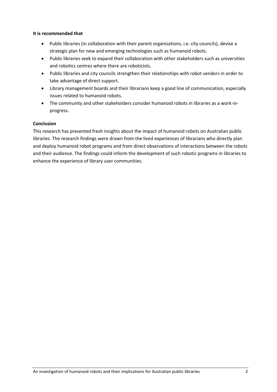# **It is recommended that**

- Public libraries (in collaboration with their parent organisations, i.e. city councils), devise a strategic plan for new and emerging technologies such as humanoid robots.
- Public libraries seek to expand their collaboration with other stakeholders such as universities and robotics centres where there are roboticists.
- Public libraries and city councils strengthen their relationships with robot vendors in order to take advantage of direct support.
- Library management boards and their librarians keep a good line of communication, especially issues related to humanoid robots.
- The community and other stakeholders consider humanoid robots in libraries as a work-inprogress.

# **Conclusion**

This research has presented fresh insights about the impact of humanoid robots on Australian public libraries. The research findings were drawn from the lived experiences of librarians who directly plan and deploy humanoid robot programs and from direct observations of interactions between the robots and their audience. The findings could inform the development of such robotic programs in libraries to enhance the experience of library user communities.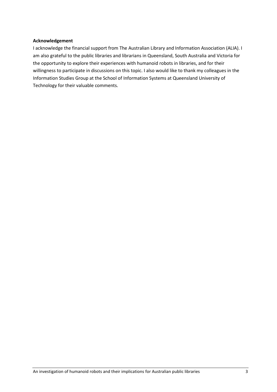# **Acknowledgement**

I acknowledge the financial support from The Australian Library and Information Association (ALIA). I am also grateful to the public libraries and librarians in Queensland, South Australia and Victoria for the opportunity to explore their experiences with humanoid robots in libraries, and for their willingness to participate in discussions on this topic. I also would like to thank my colleagues in the Information Studies Group at the School of Information Systems at Queensland University of Technology for their valuable comments.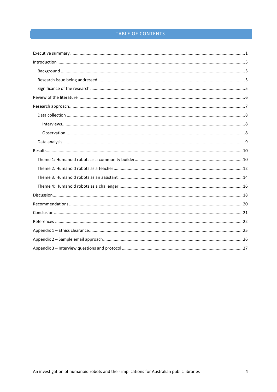# TABLE OF CONTENTS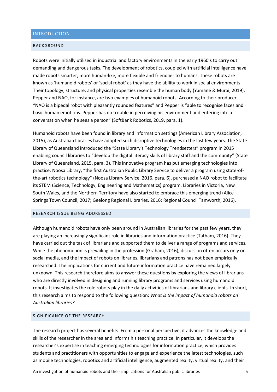# <span id="page-5-0"></span>INTRODUCTION

#### <span id="page-5-1"></span>BACKGROUND

Robots were initially utilised in industrial and factory environments in the early 1960's to carry out demanding and dangerous tasks. The development of robotics, coupled with artificial intelligence have made robots smarter, more human-like, more flexible and friendlier to humans. These robots are known as 'humanoid robots' or 'social robot' as they have the ability to work in social environments. Their topology, structure, and physical properties resemble the human body [\(Yamane & Murai, 2019\)](#page-24-0). Pepper and NAO, for instance, are two examples of humanoid robots. According to their producer, "NAO is a bipedal robot with pleasantly rounded features" and Pepper is "able to recognise faces and basic human emotions. Pepper has no trouble in perceiving his environment and entering into a conversation when he sees a person" [\(SoftBank Robotics, 2019, para. 1\)](#page-24-1).

Humanoid robots have been found in library and information settings [\(American Library Association,](#page-22-1)  [2015\)](#page-22-1), as Australian libraries have adopted such disruptive technologies in the last few years. The State Library of Queensland introduced the "State Library's Technology Trendsetters" program in 2015 enabling council libraries to "develop the digital literacy skills of library staff and the community" [\(State](#page-24-2)  [Library of Queensland, 2015, para. 3\)](#page-24-2). This innovative program has put emerging technologies into practice. Noosa Library, "the first Australian Public Library Service to deliver a program using state-ofthe-art robotics technology" [\(Noosa Library Service, 2016, para. 6\)](#page-23-0), purchased a NAO robot to facilitate its STEM (Science, Technology, Engineering and Mathematics) program. Libraries in Victoria, New South Wales, and the Northern Territory have also started to embrace this emerging trend [\(Alice](#page-22-2)  [Springs Town Council, 2017;](#page-22-2) [Geelong Regional Libraries, 2016;](#page-23-1) [Regional Council Tamworth, 2016\)](#page-23-2).

# <span id="page-5-2"></span>RESEARCH ISSUE BEING ADDRESSED

Although humanoid robots have only been around in Australian libraries for the past few years, they are playing an increasingly significant role in libraries and information practice [\(Tatham, 2016\)](#page-24-3). They have carried out the task of librarians and supported them to deliver a range of programs and services. While the phenomenon is prevailing in the profession [\(Graham, 2016\)](#page-23-3), discussion often occurs only on social media, and the impact of robots on libraries, librarians and patrons has not been empirically researched. The implications for current and future information practice have remained largely unknown. This research therefore aims to answer these questions by exploring the views of librarians who are directly involved in designing and running library programs and services using humanoid robots. It investigates the role robots play in the daily activities of librarians and library clients. In short, this research aims to respond to the following question: *What is the impact of humanoid robots on Australian libraries?*

# <span id="page-5-3"></span>SIGNIFICANCE OF THE RESEARCH

The research project has several benefits. From a personal perspective, it advances the knowledge and skills of the researcher in the area and informs his teaching practice. In particular, it develops the researcher's expertise in teaching emerging technologies for information practice, which provides students and practitioners with opportunities to engage and experience the latest technologies, such as mobile technologies, robotics and artificial intelligence, augmented reality, virtual reality, and their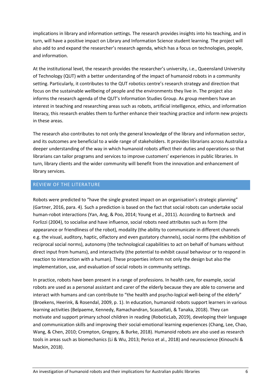implications in library and information settings. The research provides insights into his teaching, and in turn, will have a positive impact on Library and Information Science student learning. The project will also add to and expand the researcher's research agenda, which has a focus on technologies, people, and information.

At the institutional level, the research provides the researcher's university, i.e., Queensland University of Technology (QUT) with a better understanding of the impact of humanoid robots in a community setting. Particularly, it contributes to the QUT robotics centre's research strategy and direction that focus on the sustainable wellbeing of people and the environments they live in. The project also informs the research agenda of the QUT's Information Studies Group. As group members have an interest in teaching and researching areas such as robots, artificial intelligence, ethics, and information literacy, this research enables them to further enhance their teaching practice and inform new projects in these areas.

The research also contributes to not only the general knowledge of the library and information sector, and its outcomes are beneficial to a wide range of stakeholders. It provides librarians across Australia a deeper understanding of the way in which humanoid robots affect their duties and operations so that librarians can tailor programs and services to improve customers' experiences in public libraries. In turn, library clients and the wider community will benefit from the innovation and enhancement of library services.

# <span id="page-6-0"></span>REVIEW OF THE LITERATURE

Robots were predicted to "have the single greatest impact on an organisation's strategic planning" [\(Gartner, 2016, para. 4\)](#page-22-3). Such a prediction is based on the fact that social robots can undertake social human-robot interactions [\(Yan, Ang, & Poo, 2014;](#page-24-4) [Young et al., 2011\)](#page-24-5). According to Bartneck and Forlizzi [\(2004\)](#page-22-4), to socialise and have influence, social robots need attributes such as form (the appearance or friendliness of the robot), modality (the ability to communicate in different channels e.g. the visual, auditory, haptic, olfactory and even gustatory channels), social norms (the exhibition of reciprocal social norms), autonomy (the technological capabilities to act on behalf of humans without direct input from humans), and interactivity (the potential to exhibit causal behaviour or to respond in reaction to interaction with a human). These properties inform not only the design but also the implementation, use, and evaluation of social robots in community settings.

In practice, robots have been present in a range of professions. In health care, for example, social robots are used as a personal assistant and carer of the elderly because they are able to converse and interact with humans and can contribute to "the health and psycho-logical well-being of the elderly" [\(Broekens, Heerink, & Rosendal, 2009, p. 1\)](#page-22-5). In education, humanoid robots support learners in various learning activities [\(Belpaeme, Kennedy, Ramachandran, Scassellati, & Tanaka, 2018\)](#page-22-6). They can motivate and support primary school children in reading [\(RoboticLab, 2019\)](#page-23-4), developing their language and communication skills and improving their social-emotional learning experiences [\(Chang, Lee, Chao,](#page-22-7)  [Wang, & Chen, 2010;](#page-22-7) [Crompton, Gregory, & Burke, 2018\)](#page-22-8). Humanoid robots are also used as research tools in areas such as biomechanics [\(Li & Wu, 2013;](#page-23-5) [Perico et al., 2018\)](#page-23-6) and neuroscience [\(Kinouchi &](#page-23-7)  [Mackin, 2018\)](#page-23-7).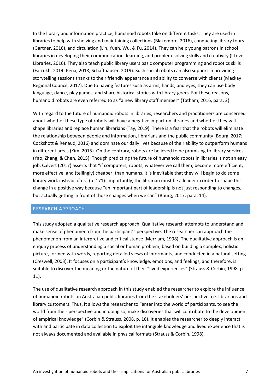In the library and information practice, humanoid robots take on different tasks. They are used in libraries to help with shelving and maintaining collections [\(Blakemore, 2016\)](#page-22-9), conducting library tours [\(Gartner, 2016\)](#page-22-3), and circulation [\(Lin, Yueh, Wu, & Fu, 2014\)](#page-23-8). They can help young patrons in school libraries in developing their communication, learning, and problem-solving skills and creativity [\(I Love](#page-23-9)  [Libraries, 2016\)](#page-23-9). They also teach public library users basic computer programming and robotics skills [\(Farrukh, 2014;](#page-22-10) [Pena, 2018;](#page-23-10) [Schaffhauser, 2019\)](#page-24-6). Such social robots can also support in providing storytelling sessions thanks to their friendly appearance and ability to converse with clients [\(Mackay](#page-23-11)  [Regional Council, 2017\)](#page-23-11). Due to having features such as arms, hands, and eyes, they can use body language, dance, play games, and share historical stories with library-goers. For these reasons, humanoid robots are even referred to as "a new library staff member" [\(Tatham, 2016, para. 2\)](#page-24-3).

With regard to the future of humanoid robots in libraries, researchers and practitioners are concerned about whether these type of robots will have a negative impact on libraries and whether they will shape libraries and replace human librarians [\(Tay, 2019\)](#page-24-7). There is a fear that the robots will eliminate the relationship between people and information, librarians and the public community [\(Bourg, 2017;](#page-22-11) [Cockshott & Renaud, 2016\)](#page-22-12) and dominate our daily lives because of their ability to outperform humans in different areas [\(Kim, 2015\)](#page-23-12). On the contrary, robots are believed to be promising to library services [\(Yao, Zhang, & Chen, 2015\)](#page-24-8). Though predicting the future of humanoid robots in libraries is not an easy job, Calvert [\(2017\)](#page-22-13) asserts that "if computers, robots, whatever we call them, become more efficient, more effective, and (tellingly) cheaper, than humans, it is inevitable that they will begin to do some library work instead of us" (p. 171). Importantly, the librarian must be a leader in order to shape this change in a positive way because "an important part of leadership is not just responding to changes, but actually getting in front of those changes when we can" [\(Bourg, 2017, para. 14\)](#page-22-11).

# <span id="page-7-0"></span>RESEARCH APPROACH

This study adopted a qualitative research approach. Qualitative research attempts to understand and make sense of phenomena from the participant's perspective. The researcher can approach the phenomenon from an interpretive and critical stance [\(Merriam, 1998\)](#page-23-13). The qualitative approach is an enquiry process of understanding a social or human problem, based on building a complex, holistic picture, formed with words, reporting detailed views of informants, and conducted in a natural setting [\(Creswell, 2003\)](#page-22-14). It focuses on a participant's knowledge, emotions, and feelings, and therefore, is suitable to discover the meaning or the nature of their "lived experiences" [\(Strauss & Corbin, 1998, p.](#page-24-9)  [11\)](#page-24-9).

The use of qualitative research approach in this study enabled the researcher to explore the influence of humanoid robots on Australian public libraries from the stakeholders' perspective, i.e. librarians and library customers. Thus, it allows the researcher to "enter into the world of participants, to see the world from their perspective and in doing so, make discoveries that will contribute to the development of empirical knowledge" [\(Corbin & Strauss, 2008, p. 16\)](#page-22-15). It enables the researcher to deeply interact with and participate in data collection to exploit the intangible knowledge and lived experience that is not always documented and available in physical formats [\(Strauss & Corbin, 1998\)](#page-24-9).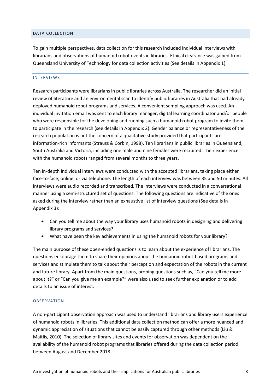#### <span id="page-8-0"></span>DATA COLLECTION

To gain multiple perspectives, data collection for this research included individual interviews with librarians and observations of humanoid robot events in libraries. Ethical clearance was gained from Queensland University of Technology for data collection activities (See details in Appendix 1).

#### <span id="page-8-1"></span>INTERVIEWS

Research participants were librarians in public libraries across Australia. The researcher did an initial review of literature and an environmental scan to identify public libraries in Australia that had already deployed humanoid robot programs and services. A convenient sampling approach was used. An individual invitation email was sent to each library manager, digital learning coordinator and/or people who were responsible for the developing and running such a humanoid robot program to invite them to participate in the research (see details in Appendix 2). Gender balance or representativeness of the research population is not the concern of a qualitative study provided that participants are information-rich informants [\(Strauss & Corbin, 1998\)](#page-24-9). Ten librarians in public libraries in Queensland, South Australia and Victoria, including one male and nine females were recruited. Their experience with the humanoid robots ranged from several months to three years.

Ten in-depth individual interviews were conducted with the accepted librarians, taking place either face-to-face, online, or via telephone. The length of each interview was between 35 and 50 minutes. All interviews were audio recorded and transcribed. The interviews were conducted in a conversational manner using a semi-structured set of questions. The following questions are indicative of the ones asked during the interview rather than an exhaustive list of interview questions (See details in Appendix 3):

- Can you tell me about the way your library uses humanoid robots in designing and delivering library programs and services?
- What have been the key achievements in using the humanoid robots for your library?

The main purpose of these open-ended questions is to learn about the experience of librarians. The questions encourage them to share their opinions about the humanoid robot-based programs and services and stimulate them to talk about their perception and expectation of the robots in the current and future library. Apart from the main questions, probing questions such as, "Can you tell me more about it?" or "Can you give me an example?" were also used to seek further explanation or to add details to an issue of interest.

#### <span id="page-8-2"></span>OBSERVATION

A non-participant observation approach was used to understand librarians and library users experience of humanoid robots in libraries. This additional data collection method can offer a more nuanced and dynamic appreciation of situations that cannot be easily captured through other methods [\(Liu &](#page-23-14)  [Maitlis, 2010\)](#page-23-14). The selection of library sites and events for observation was dependent on the availability of the humanoid robot programs that libraries offered during the data collection period between August and December 2018.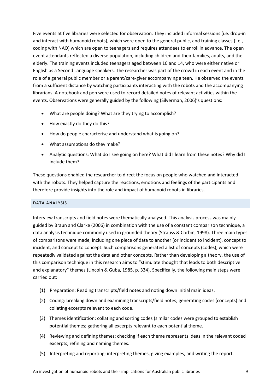Five events at five libraries were selected for observation. They included informal sessions (i.e. drop-in and interact with humanoid robots), which were open to the general public, and training classes (i.e., coding with NAO) which are open to teenagers and requires attendees to enroll in advance. The open event attendants reflected a diverse population, including children and their families, adults, and the elderly. The training events included teenagers aged between 10 and 14, who were either native or English as a Second Language speakers. The researcher was part of the crowd in each event and in the role of a general public member or a parent/care-giver accompanying a teen. He observed the events from a sufficient distance by watching participants interacting with the robots and the accompanying librarians. A notebook and pen were used to record detailed notes of relevant activities within the events. Observations were generally guided by the following [\(Silverman, 2006\)](#page-24-10)'s questions:

- What are people doing? What are they trying to accomplish?
- How exactly do they do this?
- How do people characterise and understand what is going on?
- What assumptions do they make?
- Analytic questions: What do I see going on here? What did I learn from these notes? Why did I include them?

These questions enabled the researcher to direct the focus on people who watched and interacted with the robots. They helped capture the reactions, emotions and feelings of the participants and therefore provide insights into the role and impact of humanoid robots in libraries.

# <span id="page-9-0"></span>DATA ANALYSIS

Interview transcripts and field notes were thematically analysed. This analysis process was mainly guided by Braun and Clarke [\(2006\)](#page-22-16) in combination with the use of a constant comparison technique, a data analysis technique commonly used in grounded theory [\(Strauss & Corbin, 1998\)](#page-24-9). Three main types of comparisons were made, including one piece of data to another (or incident to incident), concept to incident, and concept to concept. Such comparisons generated a list of concepts (codes), which were repeatedly validated against the data and other concepts. Rather than developing a theory, the use of this comparison technique in this research aims to "stimulate thought that leads to both descriptive and explanatory" themes [\(Lincoln & Guba, 1985, p. 334\)](#page-23-15). Specifically, the following main steps were carried out:

- (1) Preparation: Reading transcripts/field notes and noting down initial main ideas.
- (2) Coding: breaking down and examining transcripts/field notes; generating codes (concepts) and collating excerpts relevant to each code.
- (3) Themes identification: collating and sorting codes (similar codes were grouped to establish potential themes; gathering all excerpts relevant to each potential theme.
- (4) Reviewing and defining themes: checking if each theme represents ideas in the relevant coded excerpts; refining and naming themes.
- (5) Interpreting and reporting: interpreting themes, giving examples, and writing the report.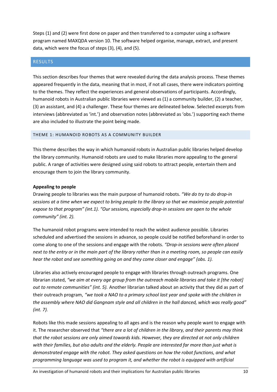Steps (1) and (2) were first done on paper and then transferred to a computer using a software program named MAXQDA version 10. The software helped organise, manage, extract, and present data, which were the focus of steps (3), (4), and (5).

# <span id="page-10-0"></span>RESULTS

This section describes four themes that were revealed during the data analysis process. These themes appeared frequently in the data, meaning that in most, if not all cases, there were indicators pointing to the themes. They reflect the experiences and general observations of participants. Accordingly, humanoid robots in Australian public libraries were viewed as (1) a community builder, (2) a teacher, (3) an assistant, and (4) a challenger. These four themes are delineated below. Selected excerpts from interviews (abbreviated as 'int.') and observation notes (abbreviated as 'obs.') supporting each theme are also included to illustrate the point being made.

# <span id="page-10-1"></span>THEME 1: HUMANOID ROBOTS AS A COMMUNITY BUILDER

This theme describes the way in which humanoid robots in Australian public libraries helped develop the library community. Humanoid robots are used to make libraries more appealing to the general public. A range of activities were designed using said robots to attract people, entertain them and encourage them to join the library community.

# **Appealing to people**

Drawing people to libraries was the main purpose of humanoid robots. *"We do try to do drop-in sessions at a time when we expect to bring people to the library so that we maximise people potential expose to that program" (int.1). "Our sessions, especially drop-in sessions are open to the whole community" (int. 2).* 

The humanoid robot programs were intended to reach the widest audience possible. Libraries scheduled and advertised the sessions in advance, so people could be notified beforehand in order to come along to one of the sessions and engage with the robots. *"Drop-in sessions were often placed next to the entry or in the main part of the library rather than in a meeting room, so people can easily hear the robot and see something going on and they come closer and engage" (obs. 1).* 

Libraries also actively encouraged people to engage with libraries through outreach programs. One librarian stated, *"we aim at every age group from the outreach mobile libraries and take it [the robot] out to remote communities" (int. 5).* Another librarian talked about an activity that they did as part of their outreach program, *"we took a NAO to a primary school last year and spoke with the children in the assembly where NAO did Gangnam style and all children in the hall danced, which was really good" (int. 7).* 

Robots like this made sessions appealing to all ages and is the reason why people want to engage with it. The researcher observed that *"there are a lot of children in the library, and their parents may think that the robot sessions are only aimed towards kids. However, they are directed at not only children with their families, but also adults and the elderly. People are interested far more than just what is demonstrated engage with the robot. They asked questions on how the robot functions, and what programming language was used to program it, and whether the robot is equipped with artificial*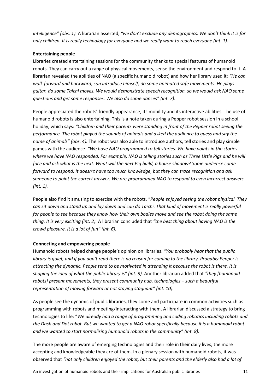*intelligence" (obs. 1).* A librarian asserted, *"we don't exclude any demographics. We don't think it is for only children. It is really technology for everyone and we really want to reach everyone (int. 1).*

# **Entertaining people**

Libraries created entertaining sessions for the community thanks to special features of humanoid robots. They can carry out a range of physical movements, sense the environment and respond to it. A librarian revealed the abilities of NAO (a specific humanoid robot) and how her library used it: *"He can walk forward and backward, can introduce himself, do some animated safe movements. He plays guitar, do some Taichi moves. We would demonstrate speech recognition, so we would ask NAO some questions and get some responses. We also do some dances" (int. 7).* 

People appreciated the robots' friendly appearance, its mobility and its interactive abilities. The use of humanoid robots is also entertaining. This is a note taken during a Pepper robot session in a school holiday, which says: *"Children and their parents were standing in front of the Pepper robot seeing the performance. The robot played the sounds of animals and asked the audience to guess and say the name of animals" (obs. 4).* The robot was also able to introduce authors, tell stories and play simple games with the audience. *"We have NAO programmed to tell stories. We have points in the stories where we have NAO responded. For example, NAO is telling stories such as Three Little Pigs and he will face and ask what is the next. What will the next Pig build, a house shadow? Some audience come forward to respond. It doesn't have too much knowledge, but they can trace recognition and ask someone to point the correct answer. We pre-programmed NAO to respond to even incorrect answers (int. 1).*

People also find it amusing to exercise with the robots. "*People enjoyed seeing the robot physical. They can sit down and stand up and lay down and can do Taichi. That kind of movement is really powerful for people to see because they know how their own bodies move and see the robot doing the same thing. It is very exciting (int. 2).* A librarian concluded that *"the best thing about having NAO is the crowd pleasure. It is a lot of fun" (int. 6).*

# **Connecting and empowering people**

Humanoid robots helped change people's opinion on libraries. *"You probably hear that the public library is quiet, and if you don't read there is no reason for coming to the library. Probably Pepper is attracting the dynamic. People tend to be motivated in attending it because the robot is there. It is shaping the idea of what the public library is" (int. 3).* Another librarian added that *"they [humanoid robots] present movements, they present community hub, technologies – such a beautiful representation of moving forward or not staying stagnant" (int. 10).*

As people see the dynamic of public libraries, they come and participate in common activities such as programming with robots and meeting/interacting with them. A librarian discussed a strategy to bring technologies to life: "*We already had a range of programming and coding robotics including robots and the Dash and Dot robot. But we wanted to get a NAO robot specifically because it is a humanoid robot and we wanted to start normalising humanoid robots in the community" (int. 8).* 

The more people are aware of emerging technologies and their role in their daily lives, the more accepting and knowledgeable they are of them. In a plenary session with humanoid robots, it was observed that *"not only children enjoyed the robot, but their parents and the elderly also had a lot of*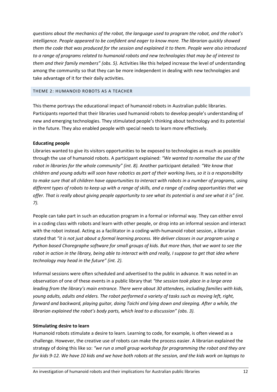*questions about the mechanics of the robot, the language used to program the robot, and the robot's intelligence. People appeared to be confident and eager to know more. The librarian quickly showed them the code that was produced for the session and explained it to them. People were also introduced to a range of programs related to humanoid robots and new technologies that may be of interest to them and their family members" (obs. 5).* Activities like this helped increase the level of understanding among the community so that they can be more independent in dealing with new technologies and take advantage of it for their daily activities.

# <span id="page-12-0"></span>THEME 2: HUMANOID ROBOTS AS A TEACHER

This theme portrays the educational impact of humanoid robots in Australian public libraries. Participants reported that their libraries used humanoid robots to develop people's understanding of new and emerging technologies. They stimulated people's thinking about technology and its potential in the future. They also enabled people with special needs to learn more effectively.

# **Educating people**

Libraries wanted to give its visitors opportunities to be exposed to technologies as much as possible through the use of humanoid robots. A participant explained: *"We wanted to normalise the use of the robot in libraries for the whole community" (int. 8).* Another participant detailed: *"We know that children and young adults will soon have robotics as part of their working lives, so it is a responsibility to make sure that all children have opportunities to interact with robots in a number of programs, using different types of robots to keep up with a range of skills, and a range of coding opportunities that we offer. That is really about giving people opportunity to see what its potential is and see what it is" (int. 7).*

People can take part in such an education program in a formal or informal way. They can either enrol in a coding class with robots and learn with other people, or drop into an informal session and interact with the robot instead. Acting as a facilitator in a coding-with-humanoid robot session, a librarian stated that "it is not just about a formal learning process. We deliver classes in our program using a *Python based Choregraphe software for small groups of kids. But more than, that we want to see the robot in action in the library, being able to interact with and really, I suppose to get that idea where technology may head in the future" (int. 2).*

Informal sessions were often scheduled and advertised to the public in advance. It was noted in an observation of one of these events in a public library that *"the session took place in a large area leading from the library's main entrance. There were about 30 attendees, including families with kids, young adults, adults and elders. The robot performed a variety of tasks such as moving left, right, forward and backward, playing guitar, doing Taichi and lying down and sleeping. After a while, the librarian explained the robot's body parts, which lead to a discussion" (obs. 3).*

# **Stimulating desire to learn**

Humanoid robots stimulate a desire to learn. Learning to code, for example, is often viewed as a challenge. However, the creative use of robots can make the process easier. A librarian explained the strategy of doing this like so: *"we run a small group workshop for programming the robot and they are for kids 9-12. We have 10 kids and we have both robots at the session, and the kids work on laptops to*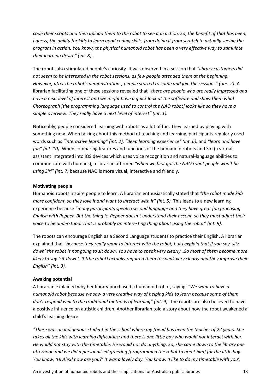*code their scripts and then upload them to the robot to see it in action. So, the benefit of that has been, I guess, the ability for kids to learn good coding skills, from doing it from scratch to actually seeing the program in action. You know, the physical humanoid robot has been a very effective way to stimulate their learning desire" (int. 8).*

The robots also stimulated people's curiosity. It was observed in a session that *"library customers did not seem to be interested in the robot sessions, as few people attended them at the beginning. However, after the robot's demonstrations, people started to come and join the sessions" (obs. 2).* A librarian facilitating one of these sessions revealed that *"there are people who are really impressed and have a next level of interest and we might have a quick look at the software and show them what Choreograph [the programming language used to control the NAO robot] looks like so they have a simple overview. They really have a next level of interest" (int. 1).*

Noticeably, people considered learning with robots as a lot of fun. They learned by playing with something new. When talking about this method of teaching and learning, participants regularly used words such as *"interactive learning" (int. 2), "deep learning experience" (int. 6),* and *"learn and have fun" (int. 10).* When comparing features and functions of the humanoid robots and Siri (a virtual assistant integrated into iOS devices which uses voice recognition and natural-language abilities to communicate with humans), a librarian affirmed *"when we first got the NAO robot people won't be using Siri" (int. 7)* because NAO is more visual, interactive and friendly.

# **Motivating people**

Humanoid robots inspire people to learn. A librarian enthusiastically stated that *"the robot made kids more confident, so they love it and want to interact with it" (int. 5).* This leads to a new learning experience because *"many participants speak a second language and they have great fun practising English with Pepper. But the thing is, Pepper doesn't understand their accent, so they must adjust their voice to be understood. That is probably an interesting thing about using the robot" (int. 9).*

The robots can encourage English as a Second Language students to practice their English. A librarian explained that *"because they really want to interact with the robot, but I explain that if you say 'sitz down' the robot is not going to sit down. You have to speak very clearly…So most of them become more likely to say 'sit-down'. It [the robot] actually required them to speak very clearly and they improve their English" (int. 3).*

# **Awaking potential**

A librarian explained why her library purchased a humanoid robot, saying: *"We want to have a humanoid robot because we saw a very creative way of helping kids to learn because some of them*  don't respond well to the traditional methods of learning" (int. 9). The robots are also believed to have a positive influence on autistic children. Another librarian told a story about how the robot awakened a child's learning desire:

*"There was an indigenous student in the school where my friend has been the teacher of 22 years. She takes all the kids with learning difficulties; and there is one little boy who would not interact with her. He would not stay with the timetable. He would not do anything. So, she came down to the library one afternoon and we did a personalised greeting [programmed the robot to greet him] for the little boy. You know, 'Hi Alex! how are you?' It was a lovely day. You know, 'I like to do my timetable with you',*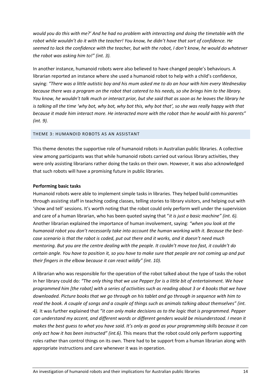*would you do this with me?' And he had no problem with interacting and doing the timetable with the robot while wouldn't do it with the teacher! You know, he didn't have that sort of confidence. He seemed to lack the confidence with the teacher, but with the robot, I don't know, he would do whatever the robot was asking him to!" (int. 3).*

In another instance, humanoid robots were also believed to have changed people's behaviours. A librarian reported an instance where she used a humanoid robot to help with a child's confidence, saying: *"There was a little autistic boy and his mum asked me to do an hour with him every Wednesday because there was a program on the robot that catered to his needs, so she brings him to the library. You know, he wouldn't talk much or interact prior, but she said that as soon as he leaves the library he is talking all the time 'why bot, why bot, why bot this, why bot that', so she was really happy with that because it made him interact more. He interacted more with the robot than he would with his parents" (int. 9).*

#### <span id="page-14-0"></span>THEME 3: HUMANOID ROBOTS AS AN ASSISTANT

This theme denotes the supportive role of humanoid robots in Australian public libraries. A collective view among participants was that while humanoid robots carried out various library activities, they were only assisting librarians rather doing the tasks on their own. However, it was also acknowledged that such robots will have a promising future in public libraries.

# **Performing basic tasks**

Humanoid robots were able to implement simple tasks in libraries. They helped build communities through assisting staff in teaching coding classes, telling stories to library visitors, and helping out with 'show and tell' sessions. It's worth noting that the robot could only perform well under the supervision and care of a human librarian, who has been quoted saying that "*it is just a basic machine" (int. 6).*  Another librarian explained the importance of human involvement, saying: *"when you look at the humanoid robot you don't necessarily take into account the human working with it. Because the bestcase scenario is that the robot is coded, put out there and it works, and it doesn't need much mentoring. But you are the centre dealing with the people. It couldn't move too fast, it couldn't do certain angle. You have to position it, so you have to make sure that people are not coming up and put their fingers in the elbow because it can react wildly" (int. 10).*

A librarian who was responsible for the operation of the robot talked about the type of tasks the robot in her library could do: *"The only thing that we use Pepper for is a little bit of entertainment. We have programmed him [the robot] with a series of activities such as reading about 3 or 4 books that we have downloaded. Picture books that we go through on his tablet and go through in sequence with him to read the book. A couple of songs and a couple of things such as animals talking about themselves" (int. 4).* It was further explained that *"it can only make decisions as to the logic that is programmed. Pepper can understand my accent, and different words or different genders would be misunderstood. I mean it makes the best guess to what you have said. It's only as good as your programming skills because it can only act how it has been instructed" (int.6).* This means that the robot could only perform supporting roles rather than control things on its own. There had to be support from a human librarian along with appropriate instructions and care whenever it was in operation.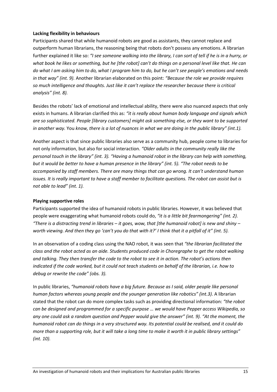# **Lacking flexibility in behaviours**

Participants shared that while humanoid robots are good as assistants, they cannot replace and outperform human librarians, the reasoning being that robots don't possess any emotions. A librarian further explained it like so: *"I see someone walking into the library, I can sort of tell if he is in a hurry, or what book he likes or something, but he [the robot] can't do things on a personal level like that. He can do what I am asking him to do, what I program him to do, but he can't see people's emotions and needs in that way" (int. 9).* Another librarian elaborated on this point: *"Because the role we provide requires so much intelligence and thoughts. Just like it can't replace the researcher because there is critical analysis" (int. 8).*

Besides the robots' lack of emotional and intellectual ability, there were also nuanced aspects that only exists in humans. A librarian clarified this as: *"it is really about human body language and signals which are so sophisticated. People [library customers] might ask something else, or they want to be supported in another way.* You *know, there is a lot of nuances in what we are doing in the public library" (int.1).*

Another aspect is that since public libraries also serve as a community hub, people come to libraries for not only information, but also for social interaction. *"Older adults in the community really like the personal touch in the library" (int. 3). "Having a humanoid robot in the library can help with something, but it would be better to have a human presence in the library" (int. 5). "The robot needs to be accompanied by staff members. There are many things that can go wrong. It can't understand human issues. It is really important to have a staff member to facilitate questions. The robot can assist but is not able to lead" (int. 1).*

# **Playing supportive roles**

Participants supported the idea of humanoid robots in public libraries. However, it was believed that people were exaggerating what humanoid robots could do, *"it is a little bit fearmongering" (int. 2). "There is a distracting trend in libraries – it goes, wow, that [the humanoid robot] is new and shiny – worth viewing. And then they go 'can't you do that with it?' I think that it a pitfall of it" (int. 5).* 

In an observation of a coding class using the NAO robot, it was seen that *"the librarian facilitated the class and the robot acted as an aide. Students produced code in Choregraphe to get the robot walking and talking. They then transfer the code to the robot to see it in action. The robot's actions then indicated if the code worked, but it could not teach students on behalf of the librarian, i.e. how to debug or rewrite the code" (obs. 3).*

In public libraries, *"humanoid robots have a big future. Because as I said, older people like personal human factors whereas young people and the younger generation like robotics" (int.3).* A librarian stated that the robot can do more complex tasks such as providing directional information: *"the robot can be designed and programmed for a specific purpose … we would have Pepper access Wikipedia, so any one could ask a random question and Pepper would give the answer" (int. 9). "At the moment, the humanoid robot can do things in a very structured way. Its potential could be realised, and it could do more than a supporting role, but it will take a long time to make it worth it in public library settings" (int. 10).*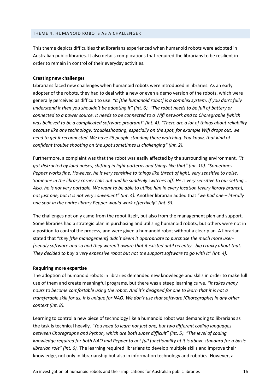#### <span id="page-16-0"></span>THEME 4: HUMANOID ROBOTS AS A CHALLENGER

This theme depicts difficulties that librarians experienced when humanoid robots were adopted in Australian public libraries. It also details complications that required the librarians to be resilient in order to remain in control of their everyday activities.

# **Creating new challenges**

Librarians faced new challenges when humanoid robots were introduced in libraries. As an early adopter of the robots, they had to deal with a new or even a demo version of the robots, which were generally perceived as difficult to use. *"It [the humanoid robot] is a complex system. If you don't fully understand it then you shouldn't be adopting it" (int. 6). "The robot needs to be full of battery or connected to a power source. It needs to be connected to a Wifi network and to Choregraphe [which was believed to be a complicated software program]" (int. 4). "There are a lot of things about reliability because like any technology, troubleshooting, especially on the spot, for example Wifi drops out, we need to get it reconnected. We have 25 people standing there watching. You know, that kind of confident trouble shooting on the spot sometimes is challenging" (int. 2).* 

Furthermore, a complaint was that the robot was easily affected by the surrounding environment. *"It got distracted by loud noises, shifting in light patterns and things like that" (int. 10). "Sometimes Pepper works fine. However, he is very sensitive to things like threat of light, very sensitive to noise. Someone in the library corner calls out and he suddenly switches off. He is very sensitive to our setting... Also, he is not very portable. We want to be able to utilise him in every location [every library branch], not just one, but it is not very convenient" (int. 4).* Another librarian added that "*we had one – literally one spot in the entire library Pepper would work effectively" (int. 9).*

The challenges not only came from the robot itself, but also from the management plan and support. Some libraries had a strategic plan in purchasing and utilising humanoid robots, but others were not in a position to control the process, and were given a humanoid robot without a clear plan. A librarian stated that "*they [the management] didn't deem it appropriate to purchase the much more userfriendly software and so and they weren't aware that it existed until recently - big cranky about that. They decided to buy a very expensive robot but not the support software to go with it" (int. 4).*

# **Requiring more expertise**

The adoption of humanoid robots in libraries demanded new knowledge and skills in order to make full use of them and create meaningful programs, but there was a steep learning curve. *"It takes many hours to become comfortable using the robot. And it's designed for one to learn that it is not a transferable skill for us. It is unique for NAO. We don't use that software [Choregraphe] in any other context (int. 8).* 

Learning to control a new piece of technology like a humanoid robot was demanding to librarians as the task is technical heavily. *"You need to learn not just one, but two different coding languages between Choregraphe and Python, which are both super difficult" (int. 5). "The level of coding knowledge required for both NAO and Pepper to get full functionality of it is above standard for a basic librarian role" (int. 6).* The learning required librarians to develop multiple skills and improve their knowledge, not only in librarianship but also in information technology and robotics. However, a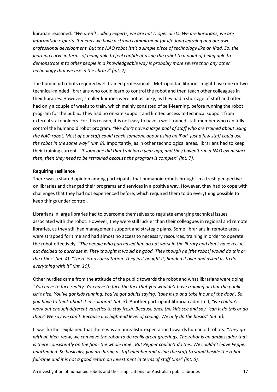librarian reasoned: *"We aren't coding experts, we are not IT specialists. We are librarians, we are information experts. It means we have a strong commitment for life-long learning and our own professional development. But the NAO robot isn't a simple piece of technology like an iPad. So, the learning curve in terms of being able to feel confident using the robot to a point of being able to demonstrate it to other people in a knowledgeable way is probably more severe than any other technology that we use in the library" (int. 2).*

The humanoid robots required well trained professionals. Metropolitan libraries might have one or two technical-minded librarians who could learn to control the robot and then teach other colleagues in their libraries. However, smaller libraries were not as lucky, as they had a shortage of staff and often had only a couple of weeks to train, which mainly consisted of self-learning, before running the robot program for the public. They had no on-site support and limited access to technical support from external stakeholders. For this reason, it is not easy to have a well-trained staff member who can fully control the humanoid robot program. *"We don't have a large pool of staff who are trained about using the NAO robot. Most of our staff could teach someone about using an iPad, just a few staff could use the robot in the same way" (int. 8).* Importantly, as in other technological areas, librarians had to keep their training current. *"If someone did that training a year ago, and they haven't run a NAO event since then, then they need to be retrained because the program is complex" (int. 7).*

# **Requiring resilience**

There was a shared opinion among participants that humanoid robots brought in a fresh perspective on libraries and changed their programs and services in a positive way. However, they had to cope with challenges that they had not experienced before, which required them to do everything possible to keep things under control.

Librarians in large libraries had to overcome themselves to regulate emerging technical issues associated with the robot. However, they were still luckier than their colleagues in regional and remote libraries, as they still had management support and strategic plans. Some librarians in remote areas were strapped for time and had almost no access to necessary resources, training in order to operate the robot effectively. *"The people who purchased him do not work in the library and don't have a clue but decided to purchase it. They thought it would be good. They though he [the robot] would do this or the other" (int. 4). "There is no consultation. They just bought it, handed it over and asked us to do everything with it" (int. 10).*

Other hurdles came from the attitude of the public towards the robot and what librarians were doing. *"You have to face reality. You have to face the fact that you wouldn't have training or that the public isn't nice. You've got kids running. You've got adults saying, 'take it up and take it out of the door'. So, you have to think about it in isolation" (int. 3).* Another participant librarian admitted, *"we couldn't work out enough different varieties to stay fresh. Because once the kids see and say, 'can it do this or do that?' We say we can't. Because it is high-end level of coding. We only do the basics" (int. 6).*

It was further explained that there was an unrealistic expectation towards humanoid robots. *"They go with an idea, wow, we can have the robot to do really great greetings. The robot is an ambassador that is there consistently on the floor the whole time…But Pepper couldn't do this. We couldn't leave Pepper unattended. So basically, you are hiring a staff member and using the staff to stand beside the robot full-time and it is not a good return on investment in terms of staff time" (int. 5).*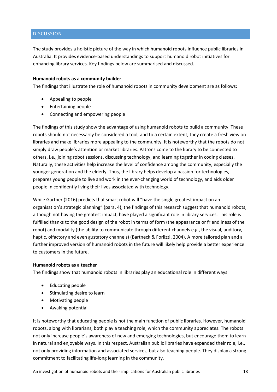# <span id="page-18-0"></span>DISCUSSION

The study provides a holistic picture of the way in which humanoid robots influence public libraries in Australia. It provides evidence-based understandings to support humanoid robot initiatives for enhancing library services. Key findings below are summarised and discussed.

# **Humanoid robots as a community builder**

The findings that illustrate the role of humanoid robots in community development are as follows:

- Appealing to people
- Entertaining people
- Connecting and empowering people

The findings of this study show the advantage of using humanoid robots to build a community. These robots should not necessarily be considered a tool, and to a certain extent, they create a fresh view on libraries and make libraries more appealing to the community. It is noteworthy that the robots do not simply draw people's attention or market libraries. Patrons come to the library to be connected to others, i.e., joining robot sessions, discussing technology, and learning together in coding classes. Naturally, these activities help increase the level of confidence among the community, especially the younger generation and the elderly. Thus, the library helps develop a passion for technologies, prepares young people to live and work in the ever-changing world of technology, and aids older people in confidently living their lives associated with technology.

While Gartner (2016) predicts that smart robot will "have the single greatest impact on an organisation's strategic planning" (para. 4), the findings of this research suggest that humanoid robots, although not having the greatest impact, have played a significant role in library services. This role is fulfilled thanks to the good design of the robot in terms of form (the appearance or friendliness of the robot) and modality (the ability to communicate through different channels e.g., the visual, auditory, haptic, olfactory and even gustatory channels) (Bartneck & Forlizzi, 2004). A more tailored plan and a further improved version of humanoid robots in the future will likely help provide a better experience to customers in the future.

# **Humanoid robots as a teacher**

The findings show that humanoid robots in libraries play an educational role in different ways:

- Educating people
- Stimulating desire to learn
- Motivating people
- Awaking potential

It is noteworthy that educating people is not the main function of public libraries. However, humanoid robots, along with librarians, both play a teaching role, which the community appreciates. The robots not only increase people's awareness of new and emerging technologies, but encourage them to learn in natural and enjoyable ways. In this respect, Australian public libraries have expanded their role, i.e., not only providing information and associated services, but also teaching people. They display a strong commitment to facilitating life-long learning in the community.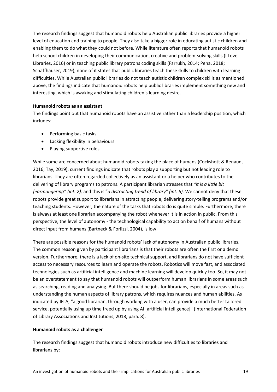The research findings suggest that humanoid robots help Australian public libraries provide a higher level of education and training to people. They also take a bigger role in educating autistic children and enabling them to do what they could not before. While literature often reports that humanoid robots help school children in developing their communication, creative and problem-solving skills [\(I Love](#page-23-9)  [Libraries, 2016\)](#page-23-9) or in teaching public library patrons coding skills [\(Farrukh, 2014;](#page-22-10) [Pena, 2018;](#page-23-10) [Schaffhauser, 2019\)](#page-24-6), none of it states that public libraries teach these skills to children with learning difficulties. While Australian public libraries do not teach autistic children complex skills as mentioned above, the findings indicate that humanoid robots help public libraries implement something new and interesting, which is awaking and stimulating children's learning desire.

# **Humanoid robots as an assistant**

The findings point out that humanoid robots have an assistive rather than a leadership position, which includes:

- Performing basic tasks
- Lacking flexibility in behaviours
- Playing supportive roles

While some are concerned about humanoid robots taking the place of humans [\(Cockshott & Renaud,](#page-22-12)  [2016;](#page-22-12) [Tay, 2019\)](#page-24-7), current findings indicate that robots play a supporting but not leading role to librarians. They are often regarded collectively as an assistant or a helper who contributes to the delivering of library programs to patrons. A participant librarian stresses that *"it is a little bit fearmongering" (int. 2),* and this is "*a distracting trend of library" (int. 5).* We cannot deny that these robots provide great support to librarians in attracting people, delivering story-telling programs and/or teaching students. However, the nature of the tasks that robots do is quite simple. Furthermore, there is always at least one librarian accompanying the robot whenever it is in action in public. From this perspective, the level of autonomy - the technological capability to act on behalf of humans without direct input from humans [\(Bartneck & Forlizzi, 2004\)](#page-22-4), is low.

There are possible reasons for the humanoid robots' lack of autonomy in Australian public libraries. The common reason given by participant librarians is that their robots are often the first or a demo version. Furthermore, there is a lack of on-site technical support, and librarians do not have sufficient access to necessary resources to learn and operate the robots. Robotics will move fast, and associated technologies such as artificial intelligence and machine learning will develop quickly too. So, it may not be an overstatement to say that humanoid robots will outperform human librarians in some areas such as searching, reading and analysing. But there should be jobs for librarians, especially in areas such as understanding the human aspects of library patrons, which requires nuances and human abilities. As indicated by IFLA, "a good librarian, through working with a user, can provide a much better tailored service, potentially using up time freed up by using AI [artificial intelligence]" [\(International Federation](#page-23-16)  [of Library Associations and Institutions, 2018, para. 8\)](#page-23-16).

# **Humanoid robots as a challenger**

The research findings suggest that humanoid robots introduce new difficulties to libraries and librarians by: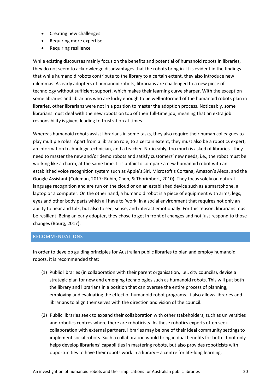- Creating new challenges
- Requiring more expertise
- Requiring resilience

While existing discourses mainly focus on the benefits and potential of humanoid robots in libraries, they do not seem to acknowledge disadvantages that the robots bring in. It is evident in the findings that while humanoid robots contribute to the library to a certain extent, they also introduce new dilemmas. As early adopters of humanoid robots, librarians are challenged to a new piece of technology without sufficient support, which makes their learning curve sharper. With the exception some libraries and librarians who are lucky enough to be well-informed of the humanoid robots plan in libraries, other librarians were not in a position to master the adoption process. Noticeably, some librarians must deal with the new robots on top of their full-time job, meaning that an extra job responsibility is given, leading to frustration at times.

Whereas humanoid robots assist librarians in some tasks, they also require their human colleagues to play multiple roles. Apart from a librarian role, to a certain extent, they must also be a robotics expert, an information technology technician, and a teacher. Noticeably, too much is asked of libraries - they need to master the new and/or demo robots and satisfy customers' new needs, i.e., the robot must be working like a charm, at the same time. It is unfair to compare a new humanoid robot with an established voice recognition system such as Apple's Siri, Microsoft's Cortana, Amazon's Alexa, and the Google Assistant [\(Coleman, 2017;](#page-22-17) [Rubin, Chen, & Thorimbert, 2010\)](#page-23-17). They focus solely on natural language recognition and are run on the cloud or on an established device such as a smartphone, a laptop or a computer. On the other hand, a humanoid robot is a piece of equipment with arms, legs, eyes and other body parts which all have to 'work' in a social environment that requires not only an ability to hear and talk, but also to see, sense, and interact emotionally. For this reason, librarians must be resilient. Being an early adopter, they chose to get in front of changes and not just respond to those changes [\(Bourg, 2017\)](#page-22-11).

# <span id="page-20-0"></span>RECOMMENDATIONS

In order to develop guiding principles for Australian public libraries to plan and employ humanoid robots, it is recommended that:

- (1) Public libraries (in collaboration with their parent organisation, i.e., city councils), devise a strategic plan for new and emerging technologies such as humanoid robots. This will put both the library and librarians in a position that can oversee the entire process of planning, employing and evaluating the effect of humanoid robot programs. It also allows libraries and librarians to align themselves with the direction and vision of the council.
- (2) Public libraries seek to expand their collaboration with other stakeholders, such as universities and robotics centres where there are roboticists. As these robotics experts often seek collaboration with external partners, libraries may be one of their ideal community settings to implement social robots. Such a collaboration would bring in dual benefits for both. It not only helps develop librarians' capabilities in mastering robots, but also provides roboticists with opportunities to have their robots work in a library – a centre for life-long learning.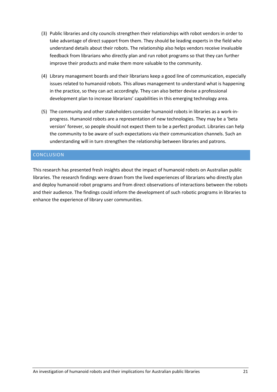- (3) Public libraries and city councils strengthen their relationships with robot vendors in order to take advantage of direct support from them. They should be leading experts in the field who understand details about their robots. The relationship also helps vendors receive invaluable feedback from librarians who directly plan and run robot programs so that they can further improve their products and make them more valuable to the community.
- (4) Library management boards and their librarians keep a good line of communication, especially issues related to humanoid robots. This allows management to understand what is happening in the practice, so they can act accordingly. They can also better devise a professional development plan to increase librarians' capabilities in this emerging technology area.
- (5) The community and other stakeholders consider humanoid robots in libraries as a work-inprogress. Humanoid robots are a representation of new technologies. They may be a 'beta version' forever, so people should not expect them to be a perfect product. Libraries can help the community to be aware of such expectations via their communication channels. Such an understanding will in turn strengthen the relationship between libraries and patrons.

# <span id="page-21-0"></span>CONCLUSION

This research has presented fresh insights about the impact of humanoid robots on Australian public libraries. The research findings were drawn from the lived experiences of librarians who directly plan and deploy humanoid robot programs and from direct observations of interactions between the robots and their audience. The findings could inform the development of such robotic programs in libraries to enhance the experience of library user communities.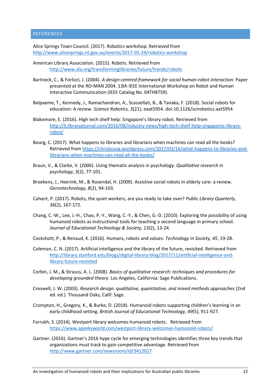# <span id="page-22-0"></span>**REFERENCES**

<span id="page-22-2"></span>Alice Springs Town Council. (2017). Robotics workshop. Retrieved from <http://www.alicesprings.nt.gov.au/events/2017-01-24/robotics-workshop>

<span id="page-22-1"></span>American Library Association. (2015). Robots. Retrieved from <http://www.ala.org/transforminglibraries/future/trends/robots>

- <span id="page-22-4"></span>Bartneck, C., & Forlizzi, J. (2004). *A design-centred framework for social human-robot interaction.* Paper presented at the RO-MAN 2004. 13th IEEE International Workshop on Robot and Human Interactive Communication (IEEE Catalog No. 04TH8759).
- <span id="page-22-6"></span>Belpaeme, T., Kennedy, J., Ramachandran, A., Scassellati, B., & Tanaka, F. (2018). Social robots for education: A review. *Science Robotics, 3*(21), eaat5954. doi:10.1126/scirobotics.aat5954
- <span id="page-22-9"></span>Blakemore, E. (2016). High tech shelf help: Singapore's library robot. Retrieved from [http://lj.libraryjournal.com/2016/08/industry-news/high-tech-shelf-help-singapores-library](http://lj.libraryjournal.com/2016/08/industry-news/high-tech-shelf-help-singapores-library-robot/)[robot/](http://lj.libraryjournal.com/2016/08/industry-news/high-tech-shelf-help-singapores-library-robot/)
- <span id="page-22-11"></span>Bourg, C. (2017). What happens to libraries and librarians when machines can read all the books? Retrieved from [https://chrisbourg.wordpress.com/2017/03/16/what-happens-to-libraries-and](https://chrisbourg.wordpress.com/2017/03/16/what-happens-to-libraries-and-librarians-when-machines-can-read-all-the-books/)[librarians-when-machines-can-read-all-the-books/](https://chrisbourg.wordpress.com/2017/03/16/what-happens-to-libraries-and-librarians-when-machines-can-read-all-the-books/)
- <span id="page-22-16"></span>Braun, V., & Clarke, V. (2006). Using thematic analysis in psychology. *Qualitative research in psychology, 3*(2), 77-101.
- <span id="page-22-5"></span>Broekens, J., Heerink, M., & Rosendal, H. (2009). Assistive social robots in elderly care: a review. *Gerontechnology, 8*(2), 94-103.
- <span id="page-22-13"></span>Calvert, P. (2017). Robots, the quiet workers, are you ready to take over? *Public Library Quarterly, 36*(2), 167-172.
- <span id="page-22-7"></span>Chang, C.-W., Lee, J.-H., Chao, P.-Y., Wang, C.-Y., & Chen, G.-D. (2010). Exploring the possibility of using humanoid robots as instructional tools for teaching a second language in primary school. *Journal of Educational Technology & Society, 13*(2), 13-24.
- <span id="page-22-12"></span>Cockshott, P., & Renaud, K. (2016). Humans, robots and values. *Technology in Society, 45*, 19-28.
- <span id="page-22-17"></span>Coleman, C. N. (2017). Artificial intelligence and the library of the future, revisited. Retrieved from [http://library.stanford.edu/blogs/digital-library-blog/2017/11/artificial-intelligence-and](http://library.stanford.edu/blogs/digital-library-blog/2017/11/artificial-intelligence-and-library-future-revisited)[library-future-revisited](http://library.stanford.edu/blogs/digital-library-blog/2017/11/artificial-intelligence-and-library-future-revisited)
- <span id="page-22-15"></span>Corbin, J. M., & Strauss, A. L. (2008). *Basics of qualitative research: techniques and procedures for developing grounded theory*. Los Angeles, California: Sage Publications.
- <span id="page-22-14"></span>Creswell, J. W. (2003). *Research design: qualitative, quantitative, and mixed methods approaches* (2nd ed. ed.). Thousand Oaks, Calif: Sage.
- <span id="page-22-8"></span>Crompton, H., Gregory, K., & Burke, D. (2018). Humanoid robots supporting children's learning in an early childhood setting. *British Journal of Educational Technology, 49*(5), 911-927.
- <span id="page-22-10"></span>Farrukh, S. (2014). Westport library welcomes humanoid robots. Retrieved from <https://www.ageekyworld.com/westport-library-welcomes-humanoid-robots/>
- <span id="page-22-3"></span>Gartner. (2016). Gartner's 2016 hype cycle for emerging technologies identifies three key trends that organizations must track to gain competitive advantage. Retrieved from <http://www.gartner.com/newsroom/id/3412017>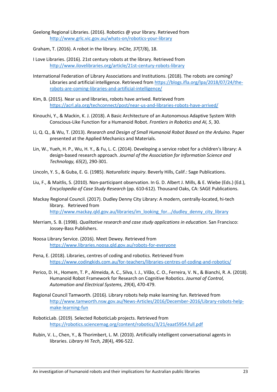- <span id="page-23-1"></span>Geelong Regional Libraries. (2016). Robotics @ your library. Retrieved from <http://www.grlc.vic.gov.au/whats-on/robotics-your-library>
- <span id="page-23-3"></span>Graham, T. (2016). A robot in the library. *InCite, 37*(7/8), 18.
- <span id="page-23-9"></span>I Love Libraries. (2016). 21st century robots at the library. Retrieved from <http://www.ilovelibraries.org/article/21st-century-robots-library>
- <span id="page-23-16"></span>International Federation of Library Associations and Institutions. (2018). The robots are coming? Libraries and artificial intelligence. Retrieved from [https://blogs.ifla.org/lpa/2018/07/24/the](https://blogs.ifla.org/lpa/2018/07/24/the-robots-are-coming-libraries-and-artificial-intelligence/)[robots-are-coming-libraries-and-artificial-intelligence/](https://blogs.ifla.org/lpa/2018/07/24/the-robots-are-coming-libraries-and-artificial-intelligence/)
- <span id="page-23-12"></span>Kim, B. (2015). Near us and libraries, robots have arrived. Retrieved from <https://acrl.ala.org/techconnect/post/near-us-and-libraries-robots-have-arrived/>
- <span id="page-23-7"></span>Kinouchi, Y., & Mackin, K. J. (2018). A Basic Architecture of an Autonomous Adaptive System With Conscious-Like Function for a Humanoid Robot. *Frontiers in Robotics and AI, 5*, 30.
- <span id="page-23-5"></span>Li, Q. Q., & Wu, T. (2013). *Research and Design of Small Humanoid Robot Based on the Arduino.* Paper presented at the Applied Mechanics and Materials.
- <span id="page-23-8"></span>Lin, W., Yueh, H. P., Wu, H. Y., & Fu, L. C. (2014). Developing a service robot for a children's library: A design‐based research approach. *Journal of the Association for Information Science and Technology, 65*(2), 290-301.
- <span id="page-23-15"></span>Lincoln, Y. S., & Guba, E. G. (1985). *Naturalistic inquiry*. Beverly Hills, Calif.: Sage Publications.
- <span id="page-23-14"></span>Liu, F., & Maitlis, S. (2010). Non-participant observation. In G. D. Albert J. Mills, & E. Wiebe (Eds.) (Ed.), *Encyclopedia of Case Study Research* (pp. 610-612). Thousand Oaks, CA: SAGE Publications.
- <span id="page-23-11"></span>Mackay Regional Council. (2017). Dudley Denny City Library: A modern, centrally-located, hi-tech library. Retrieved from [http://www.mackay.qld.gov.au/libraries/im\\_looking\\_for.../dudley\\_denny\\_city\\_library](http://www.mackay.qld.gov.au/libraries/im_looking_for.../dudley_denny_city_library)
- <span id="page-23-13"></span>Merriam, S. B. (1998). *Qualitative research and case study applications in education*. San Francisco: Jossey-Bass Publishers.
- <span id="page-23-0"></span>Noosa Library Service. (2016). Meet Dewey. Retrieved from <https://www.libraries.noosa.qld.gov.au/robots-for-everyone>
- <span id="page-23-10"></span>Pena, E. (2018). Libraries, centres of coding and robotics. Retrieved from <https://www.codingkids.com.au/for-teachers/libraries-centres-of-coding-and-robotics/>
- <span id="page-23-6"></span>Perico, D. H., Homem, T. P., Almeida, A. C., Silva, I. J., Vilão, C. O., Ferreira, V. N., & Bianchi, R. A. (2018). Humanoid Robot Framework for Research on Cognitive Robotics. *Journal of Control, Automation and Electrical Systems, 29*(4), 470-479.
- <span id="page-23-2"></span>Regional Council Tamworth. (2016). Library robots help make learning fun. Retrieved from [http://www.tamworth.nsw.gov.au/News-Articles/2016/December-2016/Library-robots-help](http://www.tamworth.nsw.gov.au/News-Articles/2016/December-2016/Library-robots-help-make-learning-fun)[make-learning-fun](http://www.tamworth.nsw.gov.au/News-Articles/2016/December-2016/Library-robots-help-make-learning-fun)
- <span id="page-23-4"></span>RoboticLab. (2019). Selected RoboticLab projects. Retrieved from <https://robotics.sciencemag.org/content/robotics/3/21/eaat5954.full.pdf>
- <span id="page-23-17"></span>Rubin, V. L., Chen, Y., & Thorimbert, L. M. (2010). Artificially intelligent conversational agents in libraries. *Library Hi Tech, 28*(4), 496-522.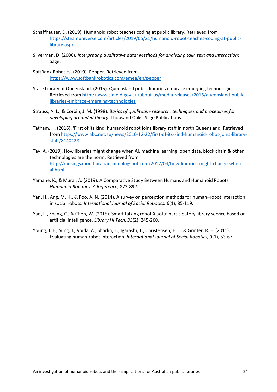- <span id="page-24-6"></span>Schaffhauser, D. (2019). Humanoid robot teaches coding at public library. Retrieved from [https://steamuniverse.com/articles/2019/05/21/humanoid-robot-teaches-coding-at-public](https://steamuniverse.com/articles/2019/05/21/humanoid-robot-teaches-coding-at-public-library.aspx)[library.aspx](https://steamuniverse.com/articles/2019/05/21/humanoid-robot-teaches-coding-at-public-library.aspx)
- <span id="page-24-10"></span>Silverman, D. (2006). *Interpreting qualitative data: Methods for analyzing talk, text and interaction*: Sage.
- <span id="page-24-1"></span>SoftBank Robotics. (2019). Pepper. Retrieved from <https://www.softbankrobotics.com/emea/en/pepper>
- <span id="page-24-2"></span>State Library of Queensland. (2015). Queensland public libraries embrace emerging technologies. Retrieved from [http://www.slq.qld.gov.au/about-us/media-releases/2015/queensland-public](http://www.slq.qld.gov.au/about-us/media-releases/2015/queensland-public-libraries-embrace-emerging-technologies)[libraries-embrace-emerging-technologies](http://www.slq.qld.gov.au/about-us/media-releases/2015/queensland-public-libraries-embrace-emerging-technologies)
- <span id="page-24-9"></span>Strauss, A. L., & Corbin, J. M. (1998). *Basics of qualitative research: techniques and procedures for developing grounded theory*. Thousand Oaks: Sage Publications.
- <span id="page-24-3"></span>Tatham, H. (2016). 'First of its kind' humanoid robot joins library staff in north Queensland. Retrieved from [https://www.abc.net.au/news/2016-12-22/first-of-its-kind-humanoid-robot-joins-library](https://www.abc.net.au/news/2016-12-22/first-of-its-kind-humanoid-robot-joins-library-staff/8140428)[staff/8140428](https://www.abc.net.au/news/2016-12-22/first-of-its-kind-humanoid-robot-joins-library-staff/8140428)
- <span id="page-24-7"></span>Tay, A. (2019). How libraries might change when AI, machine learning, open data, block chain & other technologies are the norm. Retrieved from [http://musingsaboutlibrarianship.blogspot.com/2017/04/how-libraries-might-change-when](http://musingsaboutlibrarianship.blogspot.com/2017/04/how-libraries-might-change-when-ai.html)[ai.html](http://musingsaboutlibrarianship.blogspot.com/2017/04/how-libraries-might-change-when-ai.html)
- <span id="page-24-0"></span>Yamane, K., & Murai, A. (2019). A Comparative Study Between Humans and Humanoid Robots. *Humanoid Robotics: A Reference*, 873-892.
- <span id="page-24-4"></span>Yan, H., Ang, M. H., & Poo, A. N. (2014). A survey on perception methods for human–robot interaction in social robots. *International Journal of Social Robotics, 6*(1), 85-119.
- <span id="page-24-8"></span>Yao, F., Zhang, C., & Chen, W. (2015). Smart talking robot Xiaotu: participatory library service based on artificial intelligence. *Library Hi Tech, 33*(2), 245-260.
- <span id="page-24-5"></span>Young, J. E., Sung, J., Voida, A., Sharlin, E., Igarashi, T., Christensen, H. I., & Grinter, R. E. (2011). Evaluating human-robot interaction. *International Journal of Social Robotics, 3*(1), 53-67.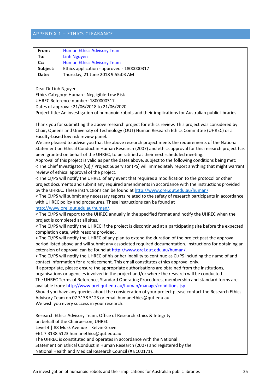# <span id="page-25-0"></span>APPENDIX 1 – ETHICS CLEARANCE

| From:                                                                                                                                 | <b>Human Ethics Advisory Team</b>                                                                     |  |  |  |
|---------------------------------------------------------------------------------------------------------------------------------------|-------------------------------------------------------------------------------------------------------|--|--|--|
| To:                                                                                                                                   | <b>Linh Nguyen</b>                                                                                    |  |  |  |
| Cc:                                                                                                                                   | <b>Human Ethics Advisory Team</b>                                                                     |  |  |  |
| Subject:                                                                                                                              | Ethics application - approved - 1800000317                                                            |  |  |  |
| Date:                                                                                                                                 | Thursday, 21 June 2018 9:55:03 AM                                                                     |  |  |  |
|                                                                                                                                       |                                                                                                       |  |  |  |
| Dear Dr Linh Nguyen                                                                                                                   |                                                                                                       |  |  |  |
|                                                                                                                                       | Ethics Category: Human - Negligible-Low Risk                                                          |  |  |  |
| UHREC Reference number: 1800000317                                                                                                    |                                                                                                       |  |  |  |
| Dates of approval: 21/06/2018 to 21/06/2020                                                                                           |                                                                                                       |  |  |  |
| Project title: An investigation of humanoid robots and their implications for Australian public libraries                             |                                                                                                       |  |  |  |
|                                                                                                                                       |                                                                                                       |  |  |  |
|                                                                                                                                       | Thank you for submitting the above research project for ethics review. This project was considered by |  |  |  |
|                                                                                                                                       |                                                                                                       |  |  |  |
| Chair, Queensland University of Technology (QUT) Human Research Ethics Committee (UHREC) or a<br>Faculty-based low risk review panel. |                                                                                                       |  |  |  |
|                                                                                                                                       |                                                                                                       |  |  |  |
|                                                                                                                                       | We are pleased to advise you that the above research project meets the requirements of the National   |  |  |  |
| Statement on Ethical Conduct in Human Research (2007) and ethics approval for this research project has                               |                                                                                                       |  |  |  |
| been granted on behalf of the UHREC, to be ratified at their next scheduled meeting.                                                  |                                                                                                       |  |  |  |
| Approval of this project is valid as per the dates above, subject to the following conditions being met:                              |                                                                                                       |  |  |  |
| < The Chief Investigator (CI) / Project Supervisor (PS) will immediately report anything that might warrant                           |                                                                                                       |  |  |  |
| review of ethical approval of the project.                                                                                            |                                                                                                       |  |  |  |
|                                                                                                                                       | < The CI/PS will notify the UHREC of any event that requires a modification to the protocol or other  |  |  |  |
| project documents and submit any required amendments in accordance with the instructions provided                                     |                                                                                                       |  |  |  |
| by the UHREC. These instructions can be found at http://www.orei.qut.edu.au/human/.                                                   |                                                                                                       |  |  |  |
| < The CI/PS will submit any necessary reports related to the safety of research participants in accordance                            |                                                                                                       |  |  |  |
| with UHREC policy and procedures. These instructions can be found at                                                                  |                                                                                                       |  |  |  |
| http://www.orei.qut.edu.au/human/                                                                                                     |                                                                                                       |  |  |  |
| < The CI/PS will report to the UHREC annually in the specified format and notify the UHREC when the                                   |                                                                                                       |  |  |  |
| project is completed at all sites.                                                                                                    |                                                                                                       |  |  |  |
| < The CI/PS will notify the UHREC if the project is discontinued at a participating site before the expected                          |                                                                                                       |  |  |  |
| completion date, with reasons provided.                                                                                               |                                                                                                       |  |  |  |
| < The CI/PS will notify the UHREC of any plan to extend the duration of the project past the approval                                 |                                                                                                       |  |  |  |
| period listed above and will submit any associated required documentation. Instructions for obtaining an                              |                                                                                                       |  |  |  |
| extension of approval can be found at http://www.orei.qut.edu.au/human/.                                                              |                                                                                                       |  |  |  |
| < The CI/PS will notify the UHREC of his or her inability to continue as CI/PS including the name of and                              |                                                                                                       |  |  |  |
| contact information for a replacement. This email constitutes ethics approval only.                                                   |                                                                                                       |  |  |  |
| If appropriate, please ensure the appropriate authorisations are obtained from the institutions,                                      |                                                                                                       |  |  |  |
|                                                                                                                                       | organisations or agencies involved in the project and/or where the research will be conducted.        |  |  |  |
|                                                                                                                                       | The UHREC Terms of Reference, Standard Operating Procedures, membership and standard forms are        |  |  |  |
|                                                                                                                                       | available from: http://www.orei.qut.edu.au/human/manage/conditions.jsp.                               |  |  |  |
| Should you have any queries about the consideration of your project please contact the Research Ethics                                |                                                                                                       |  |  |  |
| Advisory Team on 07 3138 5123 or email humanethics@qut.edu.au.                                                                        |                                                                                                       |  |  |  |
|                                                                                                                                       | We wish you every success in your research.                                                           |  |  |  |
|                                                                                                                                       |                                                                                                       |  |  |  |
|                                                                                                                                       | Research Ethics Advisory Team, Office of Research Ethics & Integrity                                  |  |  |  |
| on behalf of the Chairperson, UHREC                                                                                                   |                                                                                                       |  |  |  |
| Level 4   88 Musk Avenue   Kelvin Grove                                                                                               |                                                                                                       |  |  |  |
| +61 7 3138 5123 humanethics@qut.edu.au                                                                                                |                                                                                                       |  |  |  |
| The UHREC is constituted and operates in accordance with the National                                                                 |                                                                                                       |  |  |  |
|                                                                                                                                       | Statement on Ethical Conduct in Human Research (2007) and registered by the                           |  |  |  |
| National Health and Medical Research Council (# EC00171).                                                                             |                                                                                                       |  |  |  |
|                                                                                                                                       |                                                                                                       |  |  |  |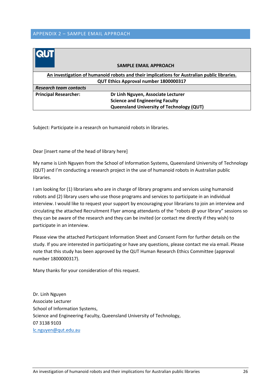<span id="page-26-0"></span>

|                                                                                                                                      | <b>SAMPLE EMAIL APPROACH</b>                     |  |  |
|--------------------------------------------------------------------------------------------------------------------------------------|--------------------------------------------------|--|--|
| An investigation of humanoid robots and their implications for Australian public libraries.<br>QUT Ethics Approval number 1800000317 |                                                  |  |  |
| <b>Research team contacts</b>                                                                                                        |                                                  |  |  |
| <b>Principal Researcher:</b>                                                                                                         | Dr Linh Nguyen, Associate Lecturer               |  |  |
|                                                                                                                                      | <b>Science and Engineering Faculty</b>           |  |  |
|                                                                                                                                      | <b>Queensland University of Technology (QUT)</b> |  |  |

Subject: Participate in a research on humanoid robots in libraries.

Dear [insert name of the head of library here]

My name is Linh Nguyen from the School of Information Systems, Queensland University of Technology (QUT) and I'm conducting a research project in the use of humanoid robots in Australian public libraries.

I am looking for (1) librarians who are in charge of library programs and services using humanoid robots and (2) library users who use those programs and services to participate in an individual interview. I would like to request your support by encouraging your librarians to join an interview and circulating the attached Recruitment Flyer among attendants of the "robots @ your library" sessions so they can be aware of the research and they can be invited (or contact me directly if they wish) to participate in an interview.

Please view the attached Participant Information Sheet and Consent Form for further details on the study. If you are interested in participating or have any questions, please contact me via email. Please note that this study has been approved by the QUT Human Research Ethics Committee (approval number 1800000317).

Many thanks for your consideration of this request.

Dr. Linh Nguyen Associate Lecturer School of Information Systems, Science and Engineering Faculty, Queensland University of Technology, 07 3138 9103 [lc.nguyen@qut.edu.au](mailto:lc.nguyen@qut.edu.au)